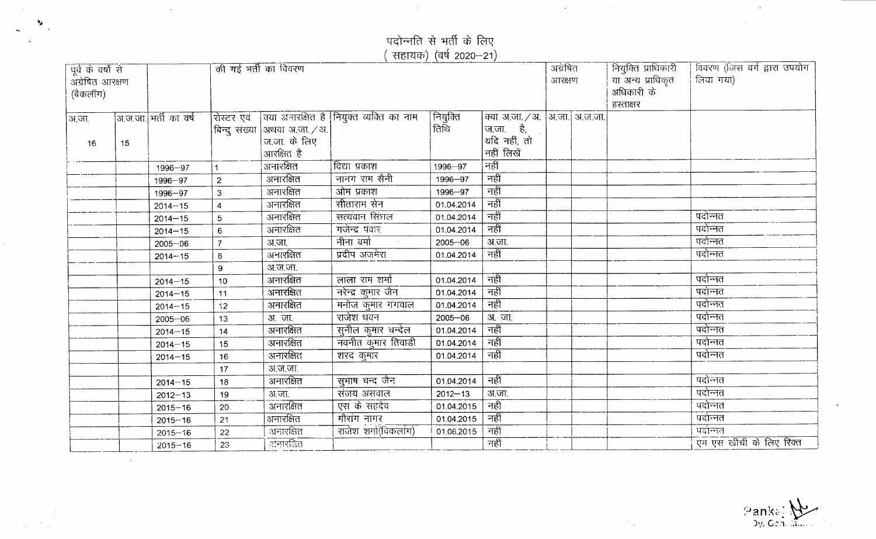पदोन्नति से भर्ती के दि

 $\sim 10^{-1}$ 

 $\mathcal{L}^{\text{max}}_{\text{max}}$  , where  $\mathcal{L}^{\text{max}}_{\text{max}}$ 

 $\mathcal{F}_{\mathcal{A}}$ 

( सहायक) (वर्ष 2020–:

**...,**

 $\Delta \sim 10^{10}$  MeV

| पूर्व के वर्षों से<br>अग्रेषित आरक्षण<br>(बैकलॉग) |    |                       | की गई भर्ती का विवरण        |                                         |                                           |                   | अग्रेषित<br>आरक्षण                                            | नियुक्ति प्राधिकारी<br>या अन्य प्राधिकृत<br>अधिकारी के<br>हस्ताक्षर | विवरण (जिस वर्ग द्वारा उपयोग<br>लिया गया) |                          |
|---------------------------------------------------|----|-----------------------|-----------------------------|-----------------------------------------|-------------------------------------------|-------------------|---------------------------------------------------------------|---------------------------------------------------------------------|-------------------------------------------|--------------------------|
| अ.जा.<br>16                                       | 15 | अ.ज.जा. भर्ती का वर्ष | रोस्टर एवं<br>बिन्दु संख्या | $ $ अथवा अ.जा. / अ. $ $<br>ज.जा. के लिए | क्या अनारक्षित है  नियुक्त व्यक्ति का नाम | नियुक्ति<br> तिथि | क्या अ.जा. / अ.  अ.जा.  अ.ज.जा. <br>ज.जा. है,<br>यदि नहीं, तो |                                                                     |                                           |                          |
|                                                   |    |                       |                             | आरक्षित है                              |                                           |                   | नहीं लिखें                                                    |                                                                     |                                           |                          |
|                                                   |    | 1996-97               |                             | अनारक्षित                               | विद्या प्रकाश                             | 1996-97           | नहीं                                                          |                                                                     |                                           |                          |
|                                                   |    | 1996-97               | $\overline{2}$              | अनारक्षित                               | नानग राम सैनी                             | 1996-97           | नहीं                                                          |                                                                     |                                           |                          |
|                                                   |    | 1996-97               | 3                           | अनारक्षित                               | ओम प्रकाश                                 | 1996-97           | नहीं                                                          |                                                                     |                                           |                          |
|                                                   |    | $2014 - 15$           | 4                           | अनारक्षित                               | सीताराम सेन                               | 01.04.2014        | नहीं                                                          |                                                                     |                                           |                          |
|                                                   |    | $2014 - 15$           | 5                           | <u>-</u><br>अनारक्षित                   | सत्यवान सिंघल                             | 01.04.2014        | नहीं                                                          |                                                                     |                                           | पदोन्नत                  |
|                                                   |    | $2014 - 15$           | $6\phantom{1}6$             | अनारक्षित                               | गजेन्द्र पंवार                            | 01.04.2014        | नहीं                                                          |                                                                     |                                           | पदोन्नत                  |
|                                                   |    | $2005 - 06$           | $\overline{7}$              | अ.जा.                                   | नीना वर्मा                                | $2005 - 06$       | अ.जा.                                                         |                                                                     |                                           | पदोन्नत                  |
|                                                   |    | $2014 - 15$           | 8                           | अनारक्षित                               | प्रदीप अजमेरा                             | 01.04.2014        | नहीं                                                          |                                                                     |                                           | पदोन्नत                  |
|                                                   |    |                       | 9                           | अ.ज.जा.                                 |                                           |                   |                                                               |                                                                     |                                           |                          |
|                                                   |    | $2014 - 15$           | 10                          | ्<br>अनारक्षित                          | लाला राम शर्मा                            | 01.04.2014        | नहीं                                                          |                                                                     |                                           | पदोन्नत                  |
|                                                   |    | $2014 - 15$           | 11                          | अनारक्षित                               | नरेन्द्र कुमार जैन                        | 01.04.2014        | नहीं                                                          |                                                                     |                                           | पदोन्नत                  |
|                                                   |    | $2014 - 15$           | 12                          | अनारक्षित                               | मनोज कुमार गंगवाल                         | 01.04.2014        | नहीं                                                          |                                                                     |                                           | पदोन्नत                  |
|                                                   |    | $2005 - 06$           | 13                          | अ.जा.                                   | राजेश धवन                                 | $2005 - 06$       | अ. जा.                                                        |                                                                     |                                           | पदोन्नत                  |
|                                                   |    | $2014 - 15$           | 14                          | अनारक्षित                               | सुनील कुमार चन्देल                        | 01.04.2014        | नहीं                                                          |                                                                     |                                           | पदोन्नत                  |
|                                                   |    | $2014 - 15$           | 15                          | अनारक्षित                               | नवनीत कुमार तिवाडी                        | 01.04.2014        | नहीं                                                          |                                                                     |                                           | पदोन्नत                  |
|                                                   |    | $2014 - 15$           | 16                          | अनारक्षित                               | शरद कुमार                                 | 01.04.2014        | नहीं                                                          |                                                                     |                                           | पदोन्नत                  |
|                                                   |    |                       | 17                          | अ.ज.जा.                                 |                                           |                   |                                                               |                                                                     |                                           |                          |
|                                                   |    | $2014 - 15$           | 18                          | ्<br>अनारक्षित                          | सुभाष चन्द जैन                            | 01.04.2014        | नहीं                                                          |                                                                     |                                           | पदोन्नत                  |
|                                                   |    | $2012 - 13$           | 19                          | अ.जा.                                   | संजय असवाल                                | $2012 - 13$       | अ.जा.                                                         |                                                                     |                                           | पदोन्नत                  |
|                                                   |    | $2015 - 16$           | 20                          |                                         | एस के सहदेव                               | 01.04.2015        | नहीं                                                          |                                                                     |                                           | पदोन्नत                  |
|                                                   |    | $2015 - 16$           | 21                          | अनारक्षित                               | गौरांग नागर                               | 01.04.2015        | नहीं                                                          |                                                                     |                                           | पदोन्नत                  |
|                                                   |    | $2015 - 16$           | 22                          | अनारक्षित                               | राजेश शर्मा(विकलांग)                      | 01.06.2015        | नहीं                                                          |                                                                     |                                           | पदोन्नत                  |
|                                                   |    | $2015 - 16$           | 23                          | ानारक्षित                               |                                           |                   | नहीं                                                          |                                                                     |                                           | एम एस खींची के लिए रिक्त |

:: A<br>| Dy. Gon. Mae: 1999<br>| Dy. Gon. Mae: 1999

 $\sim$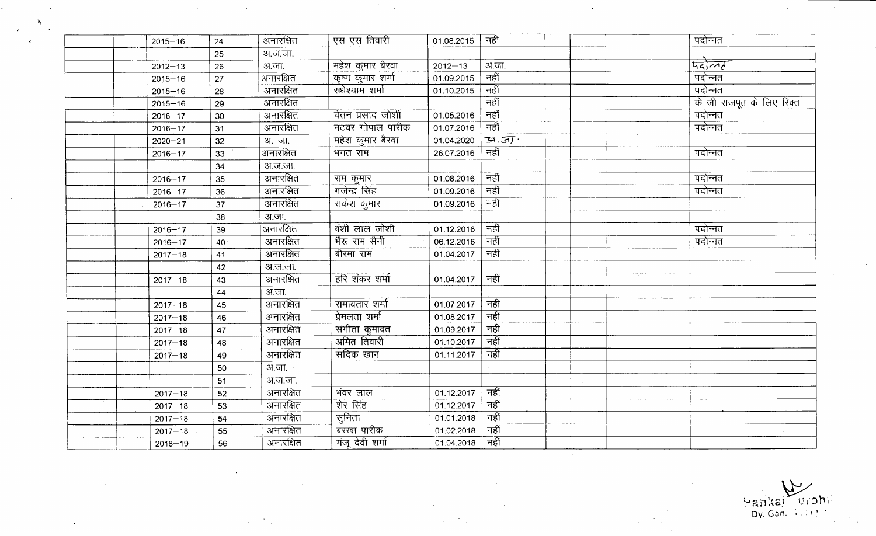| $2015 - 16$ | 24 | अनारक्षित       | एस एस तिवारी                      | 01.08.2015  | नहीं        | पदोन्नत                   |
|-------------|----|-----------------|-----------------------------------|-------------|-------------|---------------------------|
|             | 25 | अ.ज.जा.         |                                   |             |             |                           |
| $2012 - 13$ | 26 | अ.जा.           | महेश कुमार बैरवा                  | $2012 - 13$ | अ.जा.       | पदोल्लर                   |
| $2015 - 16$ | 27 | अनारक्षित       | कृष्ण कुमार शर्मा                 | 01.09.2015  | नहीं        | पदोन्नत                   |
| $2015 - 16$ | 28 | अनारक्षित       | राधेश्याम शर्मा                   | 01.10.2015  | नहीं        | पदोन्नत                   |
| $2015 - 16$ | 29 | अनारक्षित       |                                   |             | नहीं        | के जी राजपूत के लिए रिक्त |
| $2016 - 17$ | 30 | अनारक्षित       | चेतन प्रसाद जोशी                  | 01.05.2016  | नहीं        | पदोन्नत                   |
| $2016 - 17$ | 31 | अनारक्षित       | नटवर गोपाल पारीक                  | 01.07.2016  | नहीं        | पदोन्नत                   |
| $2020 - 21$ | 32 | <b>31. जा</b> . | महेश कुमार बैरवा                  | 01.04.2020  | 39.51       |                           |
| $2016 - 17$ | 33 | अनारक्षित       | भगत राम                           | 26.07.2016  | नहीं        | पदोन्नत                   |
|             | 34 | अ.ज.जा.         |                                   |             |             |                           |
| $2016 - 17$ | 35 | अनारक्षित       | <u>राम कुमार</u><br>गजेन्द्र सिंह | 01.08.2016  | नहीं        | पदोन्नत                   |
| $2016 - 17$ | 36 | अनारक्षित       |                                   | 01.09.2016  | नहीं        | पदोन्नत                   |
| $2016 - 17$ | 37 | अनारक्षित       | राकेश कुमार                       | 01.09.2016  | नहीं        |                           |
|             | 38 | अ.जा.           |                                   |             |             |                           |
| $2016 - 17$ | 39 | अनारक्षित       | बंशी लाल जोशी                     | 01.12.2016  | नहीं        | पदोन्नत                   |
| $2016 - 17$ | 40 | अनारक्षित       | भैंरू राम सैनी                    | 06.12.2016  | नहीं        | पदोन्नत                   |
| $2017 - 18$ | 41 | अनारक्षित       | बीरमा राम                         | 01.04.2017  | नहीं        |                           |
|             | 42 | अ.ज.जा.         |                                   |             |             |                           |
| $2017 - 18$ | 43 | अनारक्षित       | हरि शंकर शर्मा                    | 01.04.2017  | नहीं        |                           |
|             | 44 | अ.जा.           |                                   |             |             |                           |
| $2017 - 18$ | 45 | अनारक्षित       | रामावतार शर्मा                    | 01.07.2017  | नहीं        |                           |
| $2017 - 18$ | 46 | अनारक्षित       | प्रेमलता शर्मा                    | 01.08.2017  | नहीं        |                           |
| $2017 - 18$ | 47 | अनारक्षित       | संगीता कुमावत                     | 01.09.2017  | नहीं        |                           |
| $2017 - 18$ | 48 | अनारक्षित       | अमित तिवारी                       | 01.10.2017  | नहीं        |                           |
| $2017 - 18$ | 49 | अनारक्षित       | सदिक खान                          | 01.11.2017  | नहीं        |                           |
|             | 50 | अ.जा.           |                                   |             |             |                           |
|             | 51 | अ.ज.जा.         |                                   |             |             |                           |
| $2017 - 18$ | 52 | अनारक्षित       | भंवर लाल                          | 01.12.2017  | नहीं        |                           |
| $2017 - 18$ | 53 | अनारक्षित       | शेर सिंह                          | 01.12.2017  | नहीं        |                           |
| $2017 - 18$ | 54 | अनारक्षित       | सुनिता                            | 01.01.2018  | नहीं        |                           |
| $2017 - 18$ | 55 | अनारक्षित       | बरखा पारीक                        | 01.02.2018  | _<br>नहीं   |                           |
| $2018 - 19$ | 56 | अनारक्षित       | मंजू देवी शर्मा                   | 01.04.2018  | <u>नहीं</u> |                           |

 $\ddot{\phantom{a}}$ 

 $\Delta$ 

')i,~



 $\mathcal{L}^{\mathcal{L}}$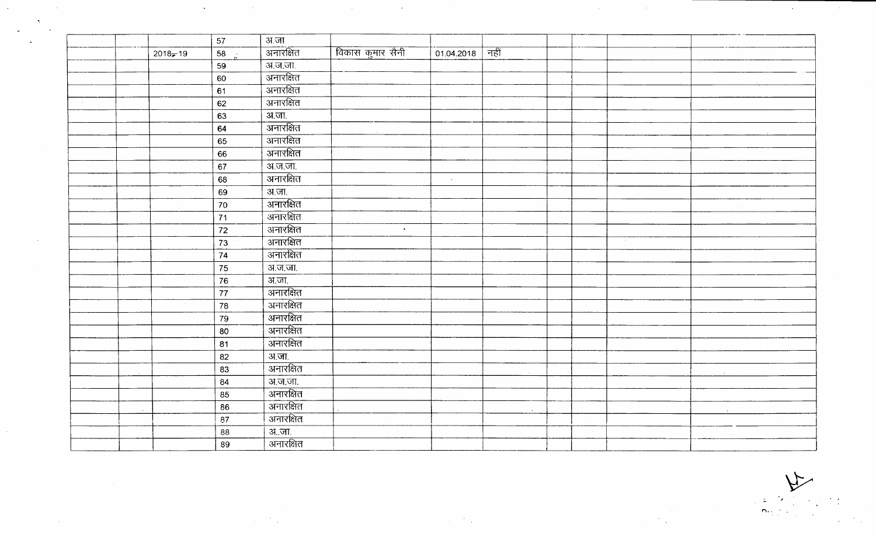|                |             | 57                 | अ.जा             |                  |            |        |  |  |  |
|----------------|-------------|--------------------|------------------|------------------|------------|--------|--|--|--|
|                | $2018 - 19$ | $58 - \frac{1}{2}$ | <u>अनारक्षित</u> | विकास कुमार सैनी | 01.04.2018 | नहीं   |  |  |  |
|                |             | 59                 | अ.ज.जा.          |                  |            |        |  |  |  |
|                |             | 60                 | अनारक्षित        |                  |            |        |  |  |  |
|                |             | 61                 | ्<br>अनारक्षित   |                  |            |        |  |  |  |
| $\sim 10^{-1}$ |             | 62                 | अनारक्षित        |                  |            |        |  |  |  |
|                |             | 63                 | अ.जा.            |                  |            |        |  |  |  |
|                |             | 64                 | अनारक्षित        |                  |            |        |  |  |  |
|                |             | 65                 | अनारक्षित        |                  |            |        |  |  |  |
|                |             | 66                 | अनारक्षित        |                  |            |        |  |  |  |
|                |             | 67                 | <u>अ.ज.जा.</u>   |                  |            |        |  |  |  |
|                |             | 68                 | अनारक्षित        |                  | $\sim$     |        |  |  |  |
|                |             | 69                 | अ.जा.            |                  |            |        |  |  |  |
|                |             | 70                 | अनारक्षित        |                  |            |        |  |  |  |
|                |             | 71                 | अनारक्षित        |                  |            |        |  |  |  |
|                |             | 72                 | अनारक्षित        | $\sim$           |            |        |  |  |  |
|                |             | 73                 | अनारक्षित        |                  |            |        |  |  |  |
|                |             | 74                 | अनारक्षित        |                  |            |        |  |  |  |
|                |             | 75                 | अ.ज.जा.          |                  |            |        |  |  |  |
|                |             | 76                 | <u>अ.जा.</u>     |                  |            |        |  |  |  |
|                |             | 77                 |                  |                  |            |        |  |  |  |
|                |             | 78                 | अनारक्षित        |                  |            |        |  |  |  |
|                |             | 79                 | अनारक्षित        |                  |            |        |  |  |  |
|                |             | 80                 | अनारक्षित        |                  |            |        |  |  |  |
|                |             | 81                 | <u>अनारक्षित</u> |                  |            |        |  |  |  |
|                |             | 82                 | अ.जा.            |                  |            |        |  |  |  |
|                |             | 83                 | अनारक्षित        |                  |            |        |  |  |  |
|                |             | 84                 | <u>अ.ज.जा.</u>   |                  |            |        |  |  |  |
|                |             | 85                 | अनारक्षित        |                  |            |        |  |  |  |
|                |             | 86                 | अनारक्षित        |                  |            | $\sim$ |  |  |  |
|                |             | 87                 | अनारक्षित        |                  |            |        |  |  |  |
|                |             | 88                 | अजा.             |                  |            |        |  |  |  |
|                |             | 89                 | अनारक्षित        |                  |            |        |  |  |  |

 $\mathcal{L}(\mathcal{L}(\mathcal{L}))$  . The set of the set of the set of the set of the set of the set of the set of the set of the set of the set of the set of the set of the set of the set of the set of the set of the set of the set of

 $\label{eq:2.1} \mathcal{L}(\mathcal{L}^{\mathcal{L}}_{\mathcal{L}}(\mathcal{L}^{\mathcal{L}}_{\mathcal{L}})) = \mathcal{L}(\mathcal{L}^{\mathcal{L}}_{\mathcal{L}}(\mathcal{L}^{\mathcal{L}}_{\mathcal{L}}))$ 

 $\sim$ 

 $\mathcal{L}^{\text{max}}_{\text{max}}$ 

 $\label{eq:2} \frac{1}{\sqrt{2\pi}}\left(\frac{N}{\sqrt{2\pi}}\right)^{1/2}$ 

 $\sim$ 

 $\label{eq:2.1} \frac{1}{\sqrt{2}}\int_{0}^{\infty} \frac{d\mu}{\mu} \left( \frac{d\mu}{\mu} \right)^2 \frac{d\mu}{\mu} \left( \frac{d\mu}{\mu} \right)^2 \frac{d\mu}{\mu} \left( \frac{d\mu}{\mu} \right)^2 \frac{d\mu}{\mu} \left( \frac{d\mu}{\mu} \right)^2 \frac{d\mu}{\mu} \left( \frac{d\mu}{\mu} \right)^2 \frac{d\mu}{\mu} \left( \frac{d\mu}{\mu} \right)^2 \frac{d\mu}{\mu} \left( \frac{d\mu}{\mu} \right)^2 \frac$ 

 $\mathcal{L}(\mathcal{A})$  and  $\mathcal{L}(\mathcal{A})$  and  $\mathcal{L}(\mathcal{A})$ 

 $\label{eq:2.1} \mathcal{L}(\mathcal{L}(\mathcal{L})) = \mathcal{L}(\mathcal{L}(\mathcal{L})) = \mathcal{L}(\mathcal{L}(\mathcal{L})) = \mathcal{L}(\mathcal{L}(\mathcal{L})) = \mathcal{L}(\mathcal{L}(\mathcal{L})) = \mathcal{L}(\mathcal{L}(\mathcal{L})) = \mathcal{L}(\mathcal{L}(\mathcal{L})) = \mathcal{L}(\mathcal{L}(\mathcal{L})) = \mathcal{L}(\mathcal{L}(\mathcal{L})) = \mathcal{L}(\mathcal{L}(\mathcal{L})) = \mathcal{L}(\mathcal{L}(\mathcal{L})) = \math$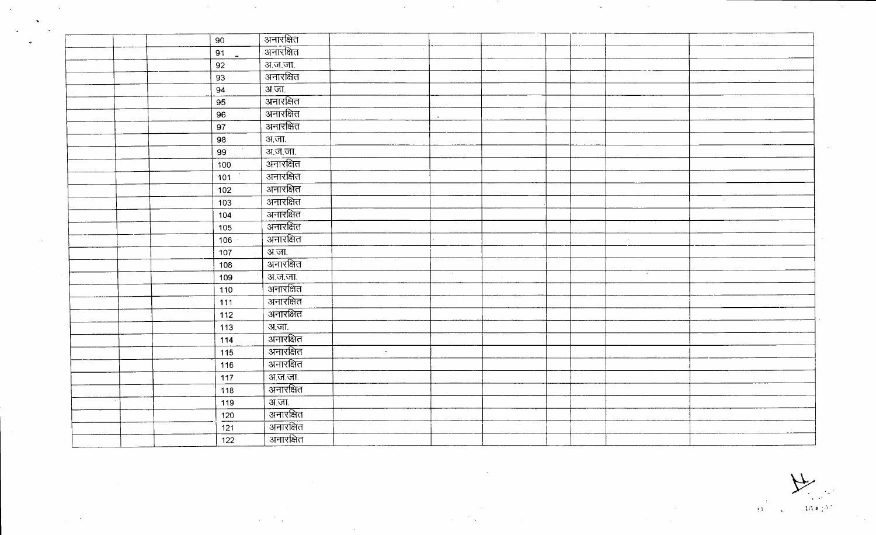| 90    | अनारक्षित              |        |           |  |                |        |  |
|-------|------------------------|--------|-----------|--|----------------|--------|--|
| 91    | <u>अनारक्षित</u>       |        |           |  |                |        |  |
| 92    | अ.ज.जा.                |        |           |  |                |        |  |
| 93    | अनारक्षित              |        |           |  |                |        |  |
| 94    | अ.जा.                  |        |           |  |                |        |  |
| 95    | अनारक्षित              |        |           |  |                |        |  |
| 96    | अनारक्षित              |        | $\bullet$ |  |                |        |  |
| 97    | अनारक्षित              |        |           |  |                |        |  |
| 98    | अ.जा.                  |        |           |  |                |        |  |
| 99    | अ.ज.जा.                |        |           |  |                |        |  |
| 100   | <u>-<br/>अनारक्षित</u> |        |           |  |                |        |  |
| 101   | अनारक्षित              |        |           |  |                |        |  |
| $102$ | अनारक्षित              |        |           |  |                |        |  |
| 103   | अनारक्षित              |        |           |  |                | $\sim$ |  |
| 104   | अनारक्षित              |        |           |  |                |        |  |
| 105   | अनारक्षित              |        |           |  |                |        |  |
| 106   | <u>- अनारक्षित</u>     |        |           |  | $\sim 10^{-1}$ |        |  |
| 107   | <u>अजा.</u>            |        |           |  |                |        |  |
| 108   | ्<br>अनारक्षित         |        |           |  |                |        |  |
| 109   | अ.ज.जा.                |        |           |  |                |        |  |
| 110   | ्<br>अनारक्षित         |        |           |  |                |        |  |
| 111   | <u>अनारक्षित</u>       |        |           |  |                |        |  |
| 112   | अनारक्षित              |        |           |  |                |        |  |
| 113   | अ.जा.                  |        |           |  |                |        |  |
| 114   | अनारक्षित              |        |           |  |                |        |  |
| 115   | अनारक्षित              | $\sim$ |           |  |                |        |  |
| 116   | अनारक्षित              |        |           |  |                |        |  |
| 117   | अ.ज.जा.                |        |           |  |                |        |  |
| 118   | अनारक्षित              |        |           |  |                |        |  |
| 119   | अ.जा.                  |        |           |  |                |        |  |
| 120   | अनारक्षित              |        |           |  |                |        |  |
| 121   | अनारक्षित              |        |           |  |                |        |  |
| 122   | अनारक्षित              |        |           |  |                |        |  |

 $\label{eq:2.1} \frac{1}{2} \sum_{i=1}^n \frac{1}{2} \sum_{j=1}^n \frac{1}{2} \sum_{j=1}^n \frac{1}{2} \sum_{j=1}^n \frac{1}{2} \sum_{j=1}^n \frac{1}{2} \sum_{j=1}^n \frac{1}{2} \sum_{j=1}^n \frac{1}{2} \sum_{j=1}^n \frac{1}{2} \sum_{j=1}^n \frac{1}{2} \sum_{j=1}^n \frac{1}{2} \sum_{j=1}^n \frac{1}{2} \sum_{j=1}^n \frac{1}{2} \sum_{j=1}^n \frac{$ 

 $\mathcal{A}^{\text{max}}_{\text{max}}$ 

 $\mathcal{L}(\mathcal{L}(\mathcal{L}))$  and the set of the set of  $\mathcal{L}(\mathcal{L})$  . The set of the set of the set of the set of the set of the set of the set of the set of the set of the set of the set of the set of the set of the set of the

 $\label{eq:2.1} \frac{1}{\sqrt{2\pi}}\left(\frac{1}{\sqrt{2\pi}}\right)^{1/2}\left(\frac{1}{\sqrt{2\pi}}\right)^{1/2}\left(\frac{1}{\sqrt{2\pi}}\right)^{1/2}\left(\frac{1}{\sqrt{2\pi}}\right)^{1/2}\left(\frac{1}{\sqrt{2\pi}}\right)^{1/2}\left(\frac{1}{\sqrt{2\pi}}\right)^{1/2}\left(\frac{1}{\sqrt{2\pi}}\right)^{1/2}\left(\frac{1}{\sqrt{2\pi}}\right)^{1/2}\left(\frac{1}{\sqrt{2\pi}}\right)^{1/2}\left(\frac{1}{\sqrt{$ 

 $\mathcal{L}^{\text{max}}_{\text{max}}$ 

 $\mathcal{L}^{\text{max}}_{\text{max}}$  , where  $\mathcal{L}^{\text{max}}_{\text{max}}$ 

 $\mathcal{L}_{\text{max}}(\mathcal{F})$  .

~ **~) 1i"t j** .~l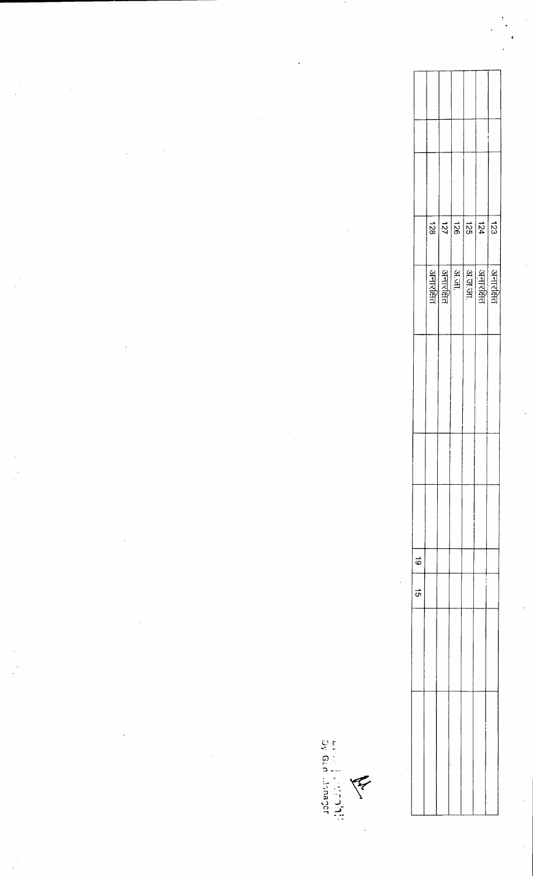|  |  |  |                |              |                                    |            |               |                        |  |                                                 | $\Delta$                          |
|--|--|--|----------------|--------------|------------------------------------|------------|---------------|------------------------|--|-------------------------------------------------|-----------------------------------|
|  |  |  |                |              |                                    |            |               |                        |  |                                                 |                                   |
|  |  |  |                |              |                                    |            |               |                        |  |                                                 |                                   |
|  |  |  |                |              |                                    |            |               |                        |  |                                                 |                                   |
|  |  |  |                |              |                                    |            |               |                        |  | $\frac{15}{36}$ $\frac{15}{26}$ $\frac{15}{26}$ | 123                               |
|  |  |  |                |              |                                    |            |               | अनारक्षित<br>अनारक्षित |  |                                                 | अनारक्षित<br>अनारक्षित<br>अज्ञाता |
|  |  |  |                |              |                                    |            |               |                        |  |                                                 |                                   |
|  |  |  |                |              |                                    |            |               |                        |  |                                                 |                                   |
|  |  |  |                |              |                                    |            |               |                        |  |                                                 |                                   |
|  |  |  |                |              |                                    |            |               |                        |  |                                                 |                                   |
|  |  |  |                |              |                                    | $\epsilon$ | $\vec{\circ}$ |                        |  |                                                 |                                   |
|  |  |  |                |              |                                    |            | $\vec{q}$     |                        |  |                                                 |                                   |
|  |  |  |                |              |                                    |            |               |                        |  |                                                 |                                   |
|  |  |  |                |              |                                    |            |               |                        |  |                                                 |                                   |
|  |  |  |                | un dia dia k | <b>ANY</b>                         |            |               |                        |  |                                                 |                                   |
|  |  |  | $\sim 10^{-1}$ | angensport   | $\mathcal{O}(\mathcal{O}(\log n))$ |            |               |                        |  |                                                 |                                   |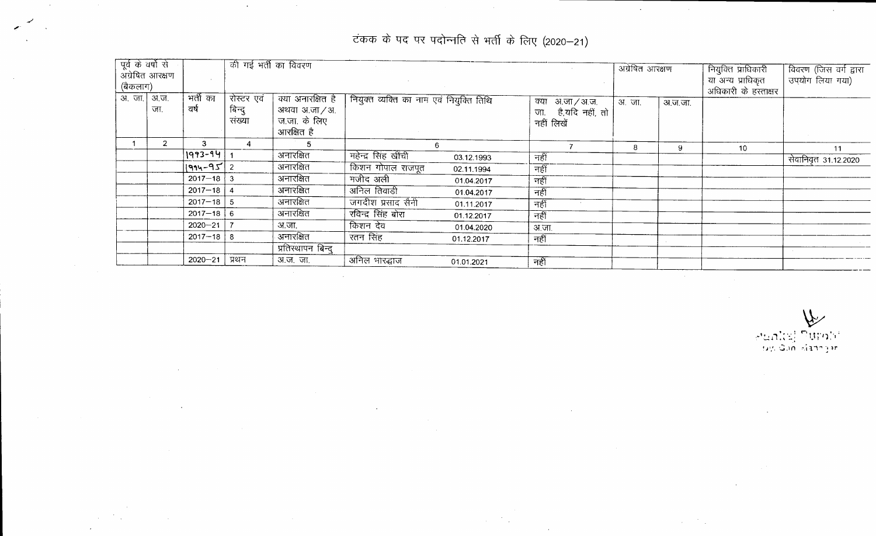टंकक के पद पर पदोन्नति से भर्ती के लिए (2020–21)

 $\mathcal{A}$ 

 $\mathcal{L}^{\mathcal{L}}$ 

 $\sim 100$   $\mu$ 

 $\sim 10^7$ 

 $\sim 10^7$ 

*,r* -/

|          | पूर्व के वर्षों से |                                             | की गई भर्ती का विवरण |                   |                     |                                                            |                     |  | अंग्रेषित आरक्षण |         | नियुक्ति प्राधिकारी   | विवरण (जिस वर्ग द्वारा |
|----------|--------------------|---------------------------------------------|----------------------|-------------------|---------------------|------------------------------------------------------------|---------------------|--|------------------|---------|-----------------------|------------------------|
|          | अंग्रेषित आरक्षण   |                                             |                      |                   |                     |                                                            |                     |  |                  |         | या अन्य प्राधिकृत     | उपयोग लिया गया)        |
| (बैकलाग) |                    |                                             |                      |                   |                     |                                                            |                     |  |                  |         | अधिकारी के हरत्ताक्षर |                        |
|          | अ. जा.   अ.ज.      | भर्ती का<br>रोस्टर एवं<br>क्या अनारक्षित है |                      |                   |                     | नियुक्त व्यक्ति का नाम एवं नियुक्ति तिथि<br>क्या अ.जा/अ.ज. |                     |  |                  |         |                       |                        |
|          | जा.                | वर्ष                                        | बिन्दु               | अथवा अ.जा / अ.    |                     |                                                            | जा. है,यदि नहीं, तो |  | अ.जा.            | अ.ज.जा. |                       |                        |
|          |                    |                                             | संख्या               | ज.जा. के लिए      |                     |                                                            | नहीं लिखें          |  |                  |         |                       |                        |
|          |                    |                                             |                      | आरक्षित है        |                     |                                                            |                     |  |                  |         |                       |                        |
|          | 2                  | 3.                                          |                      |                   |                     | 6                                                          |                     |  | 8                | 9.      | 10                    | 11                     |
|          |                    | $1993 - 94$                                 |                      | अनारक्षित         | महेन्द्र सिंह खींची | 03.12.1993                                                 | नहीं                |  |                  |         |                       | सेवानिवृत 31.12.2020   |
|          |                    | $ 1994 - 95 2$                              |                      | अनारक्षित         | किशन गोपाल राजपूत   | 02.11.1994                                                 | नहीं                |  |                  |         |                       |                        |
|          |                    | $2017 - 18$ 3                               |                      | अनारक्षित         | मजीद अली            | 01.04.2017                                                 | नहीं                |  |                  |         |                       |                        |
|          |                    | $2017 - 18$   4                             |                      | अनारक्षित         | अनिल तिवाडी         | 01.04.2017                                                 | नहीं                |  |                  |         |                       |                        |
|          |                    | $2017 - 18$ 5                               |                      | अनारक्षित         | जगदीश प्रसाद सैनी   | 01.11.2017                                                 | नहीं                |  |                  |         |                       |                        |
|          |                    | $2017 - 18$ 6                               |                      | अनारक्षित         | रविन्द्र सिंह बोरा  | 01.12.2017                                                 | नहीं                |  |                  |         |                       |                        |
|          |                    | $2020 - 21$                                 |                      | अ.जा.             | किशन देव            | 01.04.2020                                                 | अ.जा.               |  |                  |         |                       |                        |
|          |                    | $2017 - 18$                                 | -8                   | अनारक्षित         | रतन सिंह            | 01.12.2017                                                 | नहीं                |  |                  |         |                       |                        |
|          |                    |                                             |                      | प्रतिस्थापन बिन्द |                     |                                                            |                     |  |                  |         |                       |                        |
|          |                    | $2020 - 21$                                 | प्रथन                | अ.ज. जा.          | अनिल भारद्धाज       | 01.01.2021                                                 | नहीं                |  |                  |         |                       |                        |
|          |                    |                                             |                      |                   |                     |                                                            |                     |  |                  |         |                       |                        |

 $\sim 10$ 

 $\sim$ 

~ ,.1, '11"','; '"'1l'1"~"1; **"- . \ -.. . ,. !***J\'. ,.:;***.H'** :-.-i **1."'" ~ lr**

 $\sim$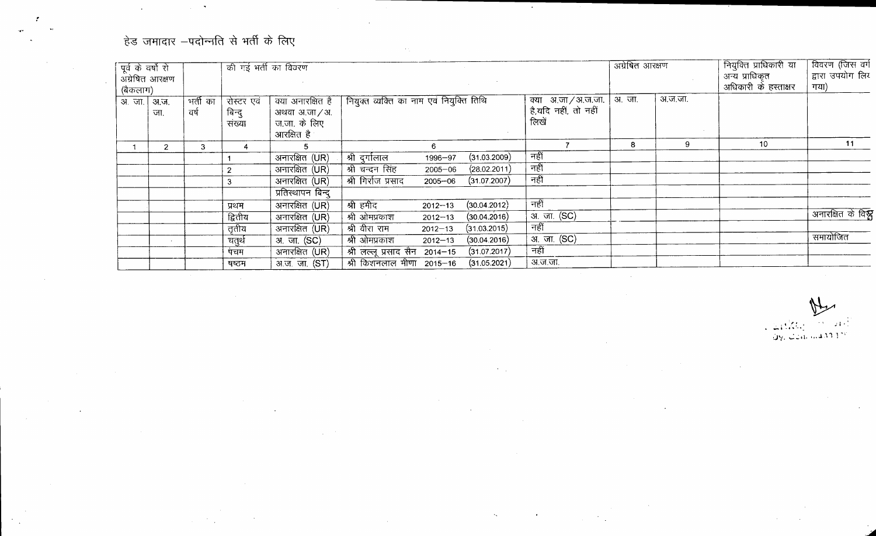## हेड जमादार  $-$ पदोन्नति से भर्ती के लिए

 $\mathcal{A}^{\mathcal{A}}$ 

 $\mathcal{L}^{\text{max}}_{\text{max}}$ 

 $\mathcal{L}^{\mathcal{L}}$ 

!

 $\mathcal{L}^{\text{max}}_{\text{max}}$ 

 $\mathcal{F}_{\mathcal{A}}$ 

| पूर्व के वर्षों रो |                  |                   | की गई भर्ती का विवरण           |                                                                   |                                          |             |              |                    |                                           | अग्रेषित आरक्षण |         | नियुक्ति प्राधिकारी या                 | विवरण (जिस वर्ग          |
|--------------------|------------------|-------------------|--------------------------------|-------------------------------------------------------------------|------------------------------------------|-------------|--------------|--------------------|-------------------------------------------|-----------------|---------|----------------------------------------|--------------------------|
| (बैकलाग)           | अंग्रेषित आरक्षण |                   |                                |                                                                   |                                          |             |              |                    |                                           |                 |         | अन्य प्राधिकृत<br>अधिकारी के हस्ताक्षर | द्वारा उपयोग लिर<br>गया) |
| .अ. जा.  अ.ज.      | जा.              | -मर्ती का<br>वर्ष | रोस्टर एवं<br>बिन्दु<br>संख्या | क्या अनारक्षित है<br>अथवा अ.जा / अ.<br>ज.जा. के लिए<br>आरक्षित है | नियुक्त व्यक्ति का नाम एवं नियुक्ति तिथि |             |              | लिखें              | क्या अ.जा/अ.ज.जा.<br>है,यदि नहीं, तो नहीं | अ.जा.           | अ.ज.जा. |                                        |                          |
|                    | 2                | 3                 |                                |                                                                   |                                          | 6           |              |                    |                                           | 8               | 9       | 10                                     | 11                       |
|                    |                  |                   |                                | अनारक्षित (UR)                                                    | , श्री दुर्गालाल                         | 1996-97     | (31.03.2009) | नहीं               |                                           |                 |         |                                        |                          |
|                    |                  |                   |                                | $\overline{\text{3}$ नारक्षित $\overline{\text{C}}$               | श्री चन्दन सिंह                          | $2005 - 06$ | (28.02.2011) | नहीं               |                                           |                 |         |                                        |                          |
|                    |                  |                   |                                | अनारक्षित (UR)                                                    | श्री गिर्राज प्रसाद                      | $2005 - 06$ | (31.07.2007) | नहीं               |                                           |                 |         |                                        |                          |
|                    |                  |                   |                                | प्रतिस्थापन बिन्दु                                                |                                          |             |              |                    |                                           |                 |         |                                        |                          |
|                    |                  |                   | प्रथम                          | अनारक्षित (UR)                                                    | श्री हमीद                                | $2012 - 13$ | (30.04.2012) | नहीं               |                                           |                 |         |                                        |                          |
|                    |                  |                   | द्वितीय                        | अनारक्षित (UR)                                                    | श्री ओमप्रकाश                            | $2012 - 13$ | (30.04.2016) | अ. जा. (SC)        |                                           |                 |         |                                        | अनारक्षित के विश्ल       |
|                    |                  |                   | तृतीय                          | अनारक्षित (UR)                                                    | श्री वीरा राम                            | $2012 - 13$ | (31.03.2015) | नहीं               |                                           |                 |         |                                        |                          |
|                    |                  |                   | चतुर्थ                         | अ. जा. (SC)                                                       | श्री ओमप्रकाश                            | $2012 - 13$ | (30.04.2016) | <u>अ. जा. (SC)</u> |                                           |                 |         |                                        | समायोजित                 |
|                    |                  |                   | पंचम                           | अनारक्षित (UR)                                                    | श्री लल्लू प्रसाद सैन 2014-15            |             | (31.07.2017) | नहीं               |                                           |                 |         |                                        |                          |
|                    |                  |                   | षष्ठम                          | अ.ज. जा. (ST)                                                     | श्री किशनलाल मीणा 2015–16                |             | (31.05.2021) | अ.ज.जा.            |                                           |                 |         |                                        |                          |
|                    |                  |                   |                                |                                                                   |                                          |             |              |                    |                                           |                 |         |                                        |                          |

 $\mathcal{F}(\mathcal{A})$ 

 $\sim 10^{-11}$ 

 $\sim 30$ 

 $\mathcal{L}_{\text{max}}$  and  $\mathcal{L}_{\text{max}}$ 

 $\sim$ 

 $211$ ~ **\_** ~.': **.... -•. 0'/.** -"':~d. , .. *l.'\11 ';"*

 $\sim$ 

 $\sim 10$ 

 $\mathcal{L}^{\text{max}}_{\text{max}}$  and  $\mathcal{L}^{\text{max}}_{\text{max}}$ 

 $\sim 10^7$